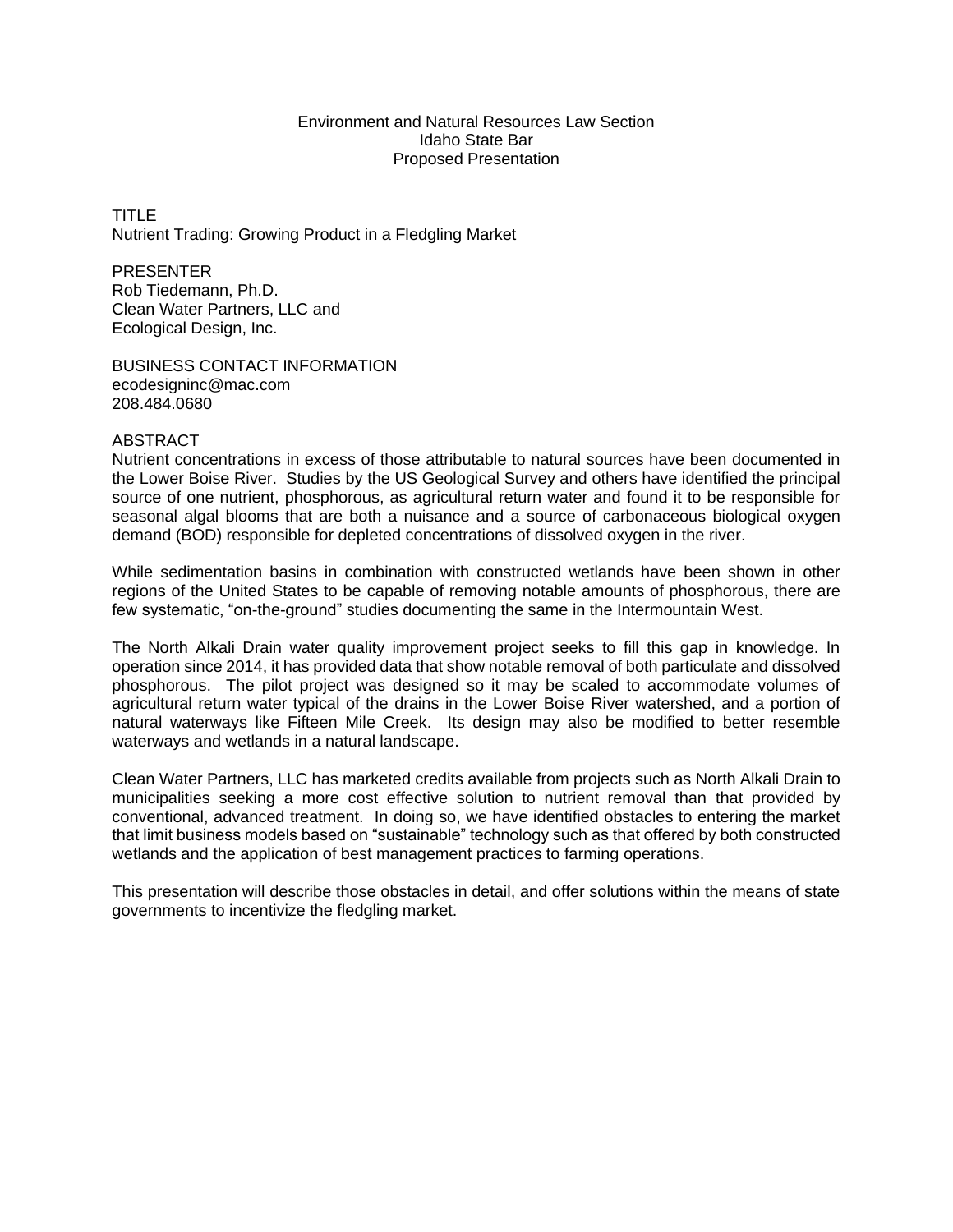## Environment and Natural Resources Law Section Idaho State Bar Proposed Presentation

TITLE Nutrient Trading: Growing Product in a Fledgling Market

PRESENTER Rob Tiedemann, Ph.D. Clean Water Partners, LLC and Ecological Design, Inc.

BUSINESS CONTACT INFORMATION [ecodesigninc@mac.com](mailto:ecodesigninc@mac.com) 208.484.0680

## ABSTRACT

Nutrient concentrations in excess of those attributable to natural sources have been documented in the Lower Boise River. Studies by the US Geological Survey and others have identified the principal source of one nutrient, phosphorous, as agricultural return water and found it to be responsible for seasonal algal blooms that are both a nuisance and a source of carbonaceous biological oxygen demand (BOD) responsible for depleted concentrations of dissolved oxygen in the river.

While sedimentation basins in combination with constructed wetlands have been shown in other regions of the United States to be capable of removing notable amounts of phosphorous, there are few systematic, "on-the-ground" studies documenting the same in the Intermountain West.

The North Alkali Drain water quality improvement project seeks to fill this gap in knowledge. In operation since 2014, it has provided data that show notable removal of both particulate and dissolved phosphorous. The pilot project was designed so it may be scaled to accommodate volumes of agricultural return water typical of the drains in the Lower Boise River watershed, and a portion of natural waterways like Fifteen Mile Creek. Its design may also be modified to better resemble waterways and wetlands in a natural landscape.

Clean Water Partners, LLC has marketed credits available from projects such as North Alkali Drain to municipalities seeking a more cost effective solution to nutrient removal than that provided by conventional, advanced treatment. In doing so, we have identified obstacles to entering the market that limit business models based on "sustainable" technology such as that offered by both constructed wetlands and the application of best management practices to farming operations.

This presentation will describe those obstacles in detail, and offer solutions within the means of state governments to incentivize the fledgling market.